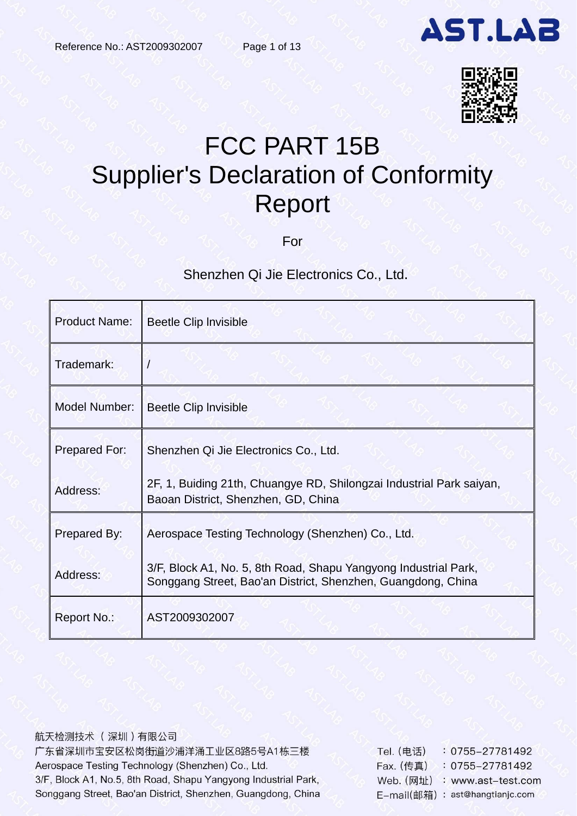

# FCC PART 15B Supplier's Declaration of Conformity Report

For

## Shenzhen Qi Jie Electronics Co., Ltd.

| <b>Product Name:</b> | Beetle Clip Invisible                                                                                                           |
|----------------------|---------------------------------------------------------------------------------------------------------------------------------|
| Trademark:           |                                                                                                                                 |
| Model Number:        | Beetle Clip Invisible                                                                                                           |
| Prepared For:        | Shenzhen Qi Jie Electronics Co., Ltd.                                                                                           |
| Address:             | 2F, 1, Buiding 21th, Chuangye RD, Shilongzai Industrial Park saiyan,<br>Baoan District, Shenzhen, GD, China                     |
| Prepared By:         | Aerospace Testing Technology (Shenzhen) Co., Ltd.                                                                               |
| Address:             | 3/F, Block A1, No. 5, 8th Road, Shapu Yangyong Industrial Park,<br>Songgang Street, Bao'an District, Shenzhen, Guangdong, China |
| Report No.:          | AST2009302007                                                                                                                   |

航天检测技术 (深圳)有限公司 广东省深圳市宝安区松岗街道沙浦洋涌工业区8路5号A1栋三楼 Aerospace Testing Technology (Shenzhen) Co., Ltd. 3/F, Block A1, No.5, 8th Road, Shapu Yangyong Industrial Park, Songgang Street, Bao'an District, Shenzhen, Guangdong, China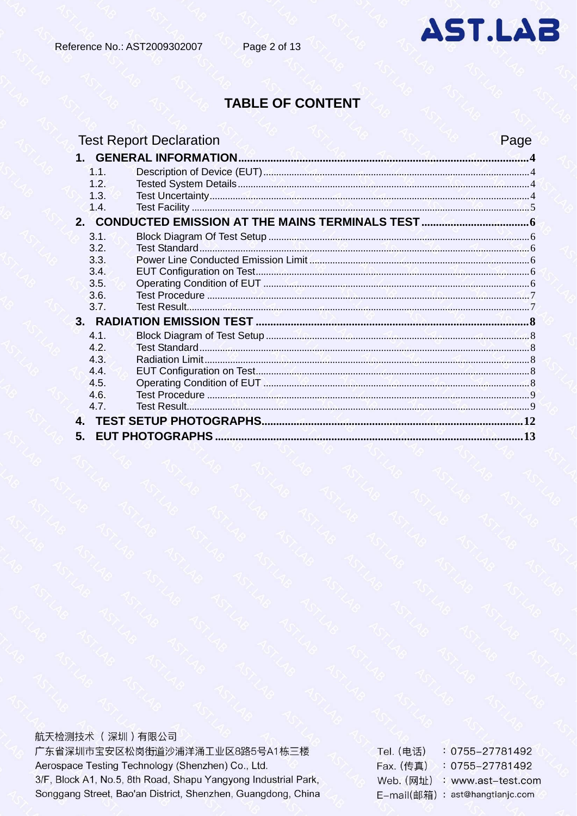

## **TABLE OF CONTENT**

| <b>Test Report Declaration</b> | Page |
|--------------------------------|------|
|                                |      |
| 1.1.                           |      |
| 12 <sup>°</sup>                |      |
| 1.3.                           |      |
| 1.4.                           |      |
|                                |      |
| 3.1.                           |      |
| 3.2.                           |      |
| 3.3.                           |      |
| 3.4.                           |      |
| 3.5.                           |      |
| 3.6.                           |      |
| 3.7.                           |      |
|                                |      |
| 4.1.                           |      |
| 4.2.                           |      |
| 4.3.                           |      |
| 4.4.                           |      |
| 4.5                            |      |
| 4.6.                           |      |
| 4.7.                           |      |
|                                |      |
| 5.                             |      |

航天检测技术 (深圳)有限公司

广东省深圳市宝安区松岗街道沙浦洋涌工业区8路5号A1栋三楼 Aerospace Testing Technology (Shenzhen) Co., Ltd. 3/F, Block A1, No.5, 8th Road, Shapu Yangyong Industrial Park, Songgang Street, Bao'an District, Shenzhen, Guangdong, China

0755-27781492 Tel. (电话) Fax. (传真) : 0755-27781492 Web. (网址) : www.ast-test.com E-mail(邮箱): ast@hangtianjc.com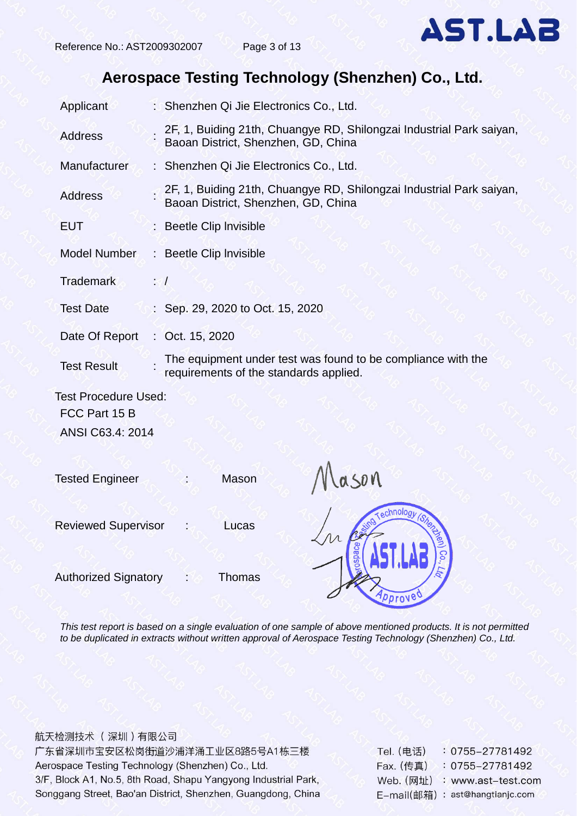## **Aerospace Testing Technology (Shenzhen) Co., Ltd.**

| Applicant                   | : Shenzhen Qi Jie Electronics Co., Ltd.                                                                     |
|-----------------------------|-------------------------------------------------------------------------------------------------------------|
| <b>Address</b>              | 2F, 1, Buiding 21th, Chuangye RD, Shilongzai Industrial Park saiyan,<br>Baoan District, Shenzhen, GD, China |
| Manufacturer                | : Shenzhen Qi Jie Electronics Co., Ltd.                                                                     |
| <b>Address</b>              | 2F, 1, Buiding 21th, Chuangye RD, Shilongzai Industrial Park saiyan,<br>Baoan District, Shenzhen, GD, China |
| <b>EUT</b>                  | : Beetle Clip Invisible                                                                                     |
| <b>Model Number</b>         | : Beetle Clip Invisible                                                                                     |
| <b>Trademark</b>            | $: \mathcal{A}$                                                                                             |
| <b>Test Date</b>            | : Sep. 29, 2020 to Oct. 15, 2020                                                                            |
| Date Of Report              | : Oct. $15, 2020$                                                                                           |
| <b>Test Result</b>          | The equipment under test was found to be compliance with the<br>requirements of the standards applied.      |
| <b>Test Procedure Used:</b> |                                                                                                             |
| FCC Part 15 B               |                                                                                                             |

ANSI C63.4: 2014

Tested Engineer : Mason

Reviewed Supervisor : Lucas

Authorized Signatory : Thomas





*This test report is based on a single evaluation of one sample of above mentioned products. It is not permitted to be duplicated in extracts without written approval of Aerospace Testing Technology (Shenzhen) Co., Ltd.*

航天检测技术 (深圳)有限公司 广东省深圳市宝安区松岗街道沙浦洋涌工业区8路5号A1栋三楼 Aerospace Testing Technology (Shenzhen) Co., Ltd. 3/F, Block A1, No.5, 8th Road, Shapu Yangyong Industrial Park, Songgang Street, Bao'an District, Shenzhen, Guangdong, China

Tel. (电话) 0755-27781492 Fax. (传真)  $: 0755 - 27781492$ Web. (网址) : www.ast-test.com E-mail(邮箱): ast@hangtianjc.com

**AST.LAB**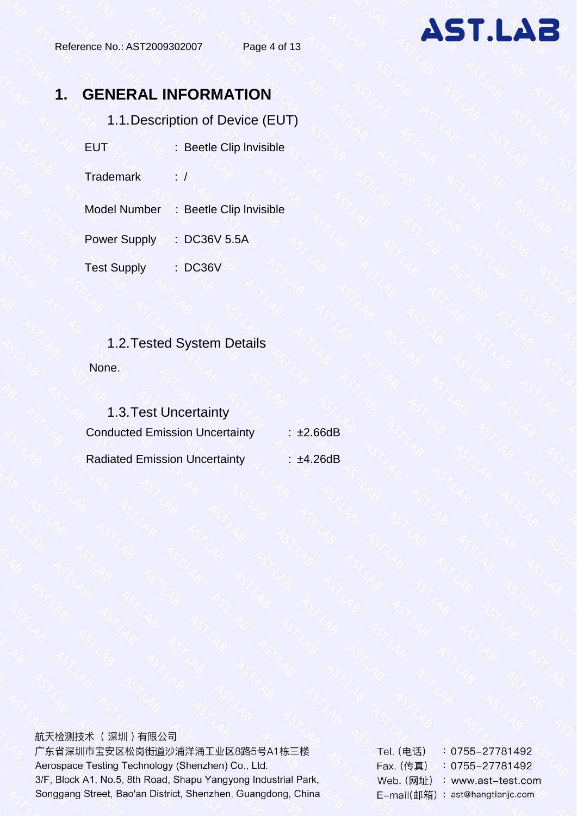# <span id="page-3-1"></span><span id="page-3-0"></span>**1. GENERAL INFORMATION**

1.1.Description of Device (EUT)

EUT : Beetle Clip Invisible

Trademark : /

Model Number : Beetle Clip Invisible

Power Supply : DC36V 5.5A

Test Supply : DC36V

# <span id="page-3-2"></span>1.2.Tested System Details None.

<span id="page-3-3"></span>

| 1.3. Test Uncertainty                 |               |
|---------------------------------------|---------------|
| <b>Conducted Emission Uncertainty</b> | $\pm 2.66$ dB |
| <b>Radiated Emission Uncertainty</b>  | $\pm 4.26$ dB |

航天检测技术 (深圳)有限公司 广东省深圳市宝安区松岗街道沙浦洋涌工业区8路5号A1栋三楼 Aerospace Testing Technology (Shenzhen) Co., Ltd. 3/F, Block A1, No.5, 8th Road, Shapu Yangyong Industrial Park, Songgang Street, Bao'an District, Shenzhen, Guangdong, China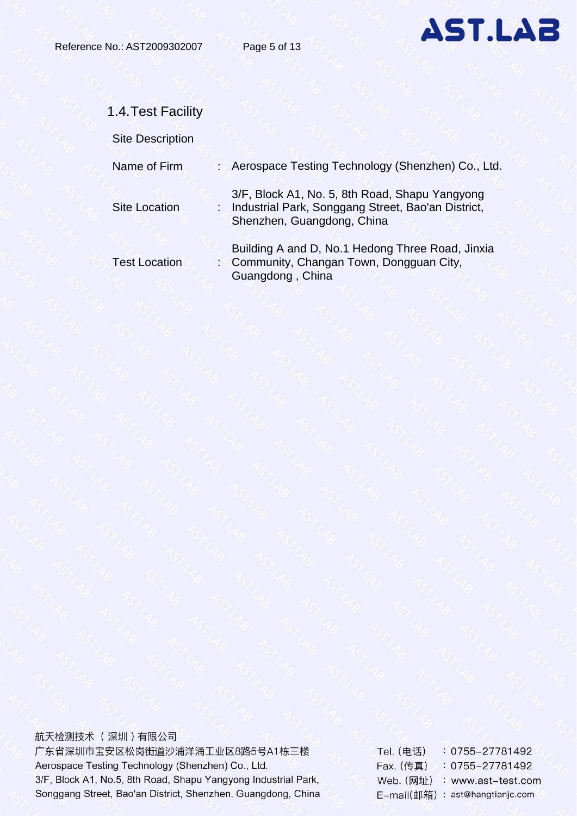

<span id="page-4-0"></span>

| 1.4. Test Facility      |                                                                                                                                      |
|-------------------------|--------------------------------------------------------------------------------------------------------------------------------------|
| <b>Site Description</b> |                                                                                                                                      |
| Name of Firm            | : Aerospace Testing Technology (Shenzhen) Co., Ltd.                                                                                  |
| <b>Site Location</b>    | 3/F, Block A1, No. 5, 8th Road, Shapu Yangyong<br>: Industrial Park, Songgang Street, Bao'an District,<br>Shenzhen, Guangdong, China |
| <b>Test Location</b>    | Building A and D, No.1 Hedong Three Road, Jinxia<br>: Community, Changan Town, Dongguan City,<br>Guangdong, China                    |

航天检测技术 (深圳)有限公司 广东省深圳市宝安区松岗街道沙浦洋涌工业区8路5号A1栋三楼 Aerospace Testing Technology (Shenzhen) Co., Ltd. 3/F, Block A1, No.5, 8th Road, Shapu Yangyong Industrial Park, Songgang Street, Bao'an District, Shenzhen, Guangdong, China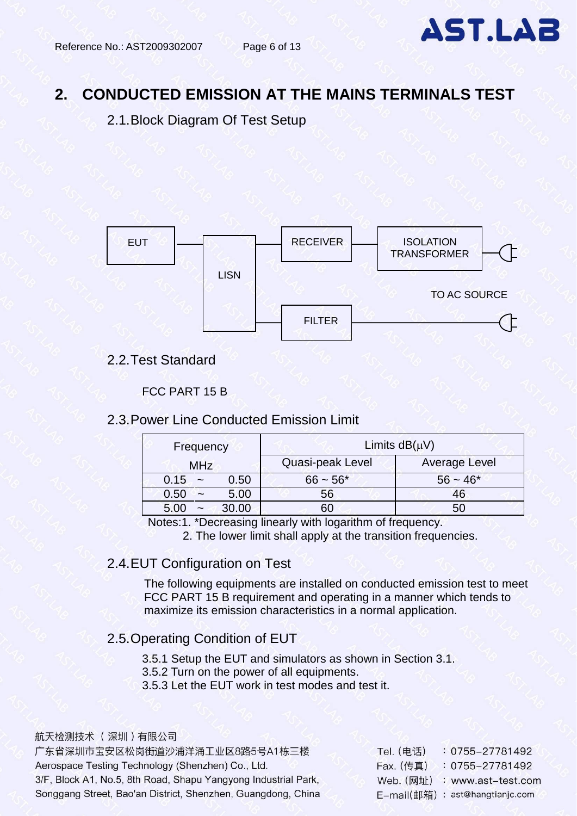## <span id="page-5-0"></span>**2. CONDUCTED EMISSION AT THE MAINS TERMINALS TEST**

<span id="page-5-1"></span>2.1.Block Diagram Of Test Setup



### <span id="page-5-2"></span>2.2.Test Standard

#### FCC PART 15 B

#### <span id="page-5-3"></span>2.3.Power Line Conducted Emission Limit

| Frequency                             | Limits $dB(\mu V)$ |               |  |  |
|---------------------------------------|--------------------|---------------|--|--|
| <b>MHz</b>                            | Quasi-peak Level   | Average Level |  |  |
| 0.15<br>0.50<br>$\tilde{\phantom{a}}$ | $66 - 56*$         | $56 - 46*$    |  |  |
| 5.00<br>0.50<br>$\tilde{\phantom{a}}$ | 56                 | 46            |  |  |
| 30.00<br>$\tilde{\phantom{a}}$        | 60                 | 50            |  |  |

Notes:1. \*Decreasing linearly with logarithm of frequency.

2. The lower limit shall apply at the transition frequencies.

#### <span id="page-5-4"></span>2.4.EUT Configuration on Test

The following equipments are installed on conducted emission test to meet FCC PART 15 B requirement and operating in a manner which tends to maximize its emission characteristics in a normal application.

## <span id="page-5-5"></span>2.5.Operating Condition of EUT

3.5.1 Setup the EUT and simulators as shown in Section 3.1.

- 3.5.2 Turn on the power of all equipments.
- 3.5.3 Let the EUT work in test modes and test it.

#### 航天检测技术 (深圳)有限公司

广东省深圳市宝安区松岗街道沙浦洋涌工业区8路5号A1栋三楼 Aerospace Testing Technology (Shenzhen) Co., Ltd. 3/F, Block A1, No.5, 8th Road, Shapu Yangyong Industrial Park, Songgang Street, Bao'an District, Shenzhen, Guangdong, China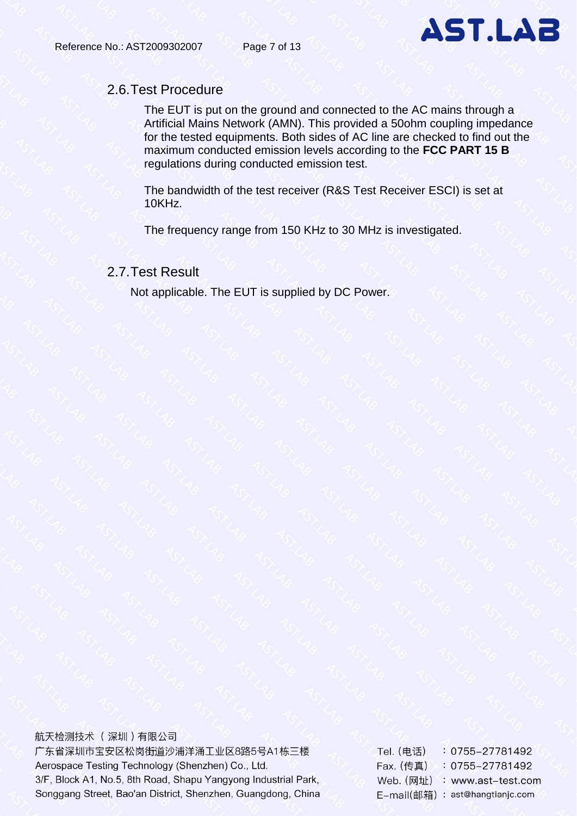

### <span id="page-6-0"></span>2.6.Test Procedure

The EUT is put on the ground and connected to the AC mains through a Artificial Mains Network (AMN). This provided a 50ohm coupling impedance for the tested equipments. Both sides of AC line are checked to find out the maximum conducted emission levels according to the **FCC PART 15 B** regulations during conducted emission test.

The bandwidth of the test receiver (R&S Test Receiver ESCI) is set at 10KHz.

The frequency range from 150 KHz to 30 MHz is investigated.

### <span id="page-6-1"></span>2.7.Test Result

Not applicable. The EUT is supplied by DC Power.

航天检测技术 (深圳)有限公司 广东省深圳市宝安区松岗街道沙浦洋涌工业区8路5号A1栋三楼 Aerospace Testing Technology (Shenzhen) Co., Ltd. 3/F, Block A1, No.5, 8th Road, Shapu Yangyong Industrial Park, Songgang Street, Bao'an District, Shenzhen, Guangdong, China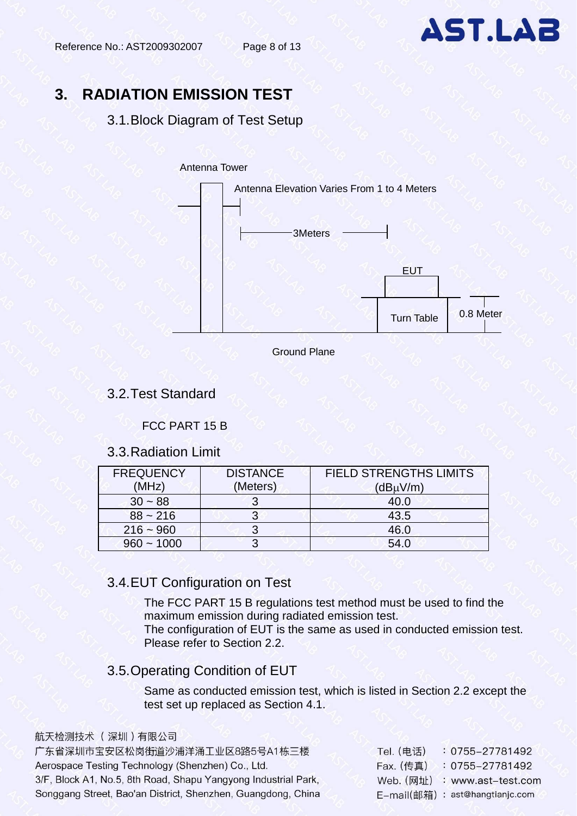

## <span id="page-7-0"></span>**3. RADIATION EMISSION TEST**

#### <span id="page-7-1"></span>3.1.Block Diagram of Test Setup

#### Antenna Tower





#### <span id="page-7-2"></span>3.2.Test Standard

#### FCC PART 15 B

#### 3.3.Radiation Limit

<span id="page-7-3"></span>

| <b>FREQUENCY</b><br>(MHz) | <b>DISTANCE</b><br>(Meters) | <b>FIELD STRENGTHS LIMITS</b><br>$(dB\muV/m)$ |
|---------------------------|-----------------------------|-----------------------------------------------|
| $30 - 88$                 |                             | 40.0                                          |
| $88 - 216$                |                             | 43.5                                          |
| $216 - 960$               |                             | 46.0                                          |
| $960 - 1000$              |                             | 54.0                                          |

## <span id="page-7-4"></span>3.4.EUT Configuration on Test

The FCC PART 15 B regulations test method must be used to find the maximum emission during radiated emission test.

The configuration of EUT is the same as used in conducted emission test. Please refer to Section 2.2.

### <span id="page-7-5"></span>3.5.Operating Condition of EUT

Same as conducted emission test, which is listed in Section 2.2 except the test set up replaced as Section 4.1.

航天检测技术 (深圳)有限公司

广东省深圳市宝安区松岗街道沙浦洋涌工业区8路5号A1栋三楼 Aerospace Testing Technology (Shenzhen) Co., Ltd. 3/F, Block A1, No.5, 8th Road, Shapu Yangyong Industrial Park, Songgang Street, Bao'an District, Shenzhen, Guangdong, China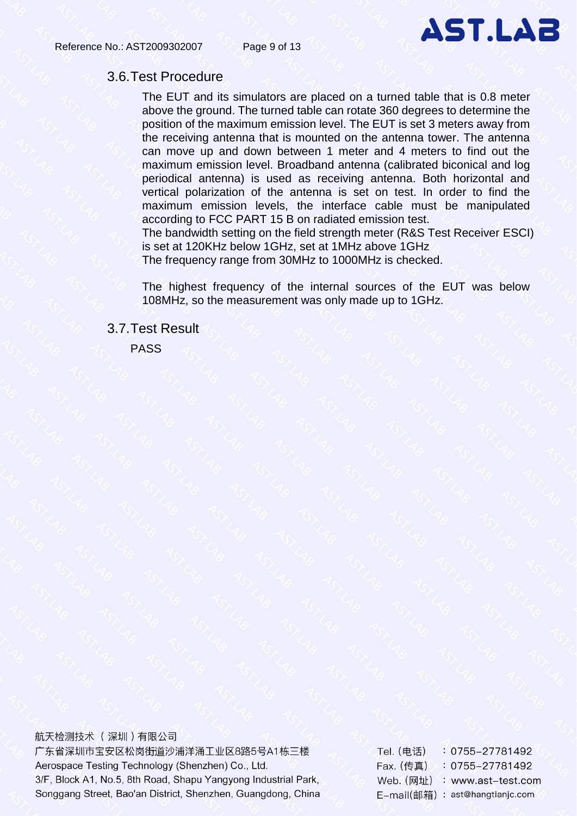

#### <span id="page-8-0"></span>3.6.Test Procedure

The EUT and its simulators are placed on a turned table that is 0.8 meter above the ground. The turned table can rotate 360 degrees to determine the position of the maximum emission level. The EUT is set 3 meters away from the receiving antenna that is mounted on the antenna tower. The antenna can move up and down between 1 meter and 4 meters to find out the maximum emission level. Broadband antenna (calibrated biconical and log periodical antenna) is used as receiving antenna. Both horizontal and vertical polarization of the antenna is set on test. In order to find the maximum emission levels, the interface cable must be manipulated according to FCC PART 15 B on radiated emission test.

The bandwidth setting on the field strength meter (R&S Test Receiver ESCI) is set at 120KHz below 1GHz, set at 1MHz above 1GHz

The frequency range from 30MHz to 1000MHz is checked.

The highest frequency of the internal sources of the EUT was below 108MHz, so the measurement was only made up to 1GHz.

#### <span id="page-8-1"></span>3.7.Test Result

PASS

航天检测技术 (深圳)有限公司 广东省深圳市宝安区松岗街道沙浦洋涌工业区8路5号A1栋三楼 Aerospace Testing Technology (Shenzhen) Co., Ltd. 3/F, Block A1, No.5, 8th Road, Shapu Yangyong Industrial Park, Songgang Street, Bao'an District, Shenzhen, Guangdong, China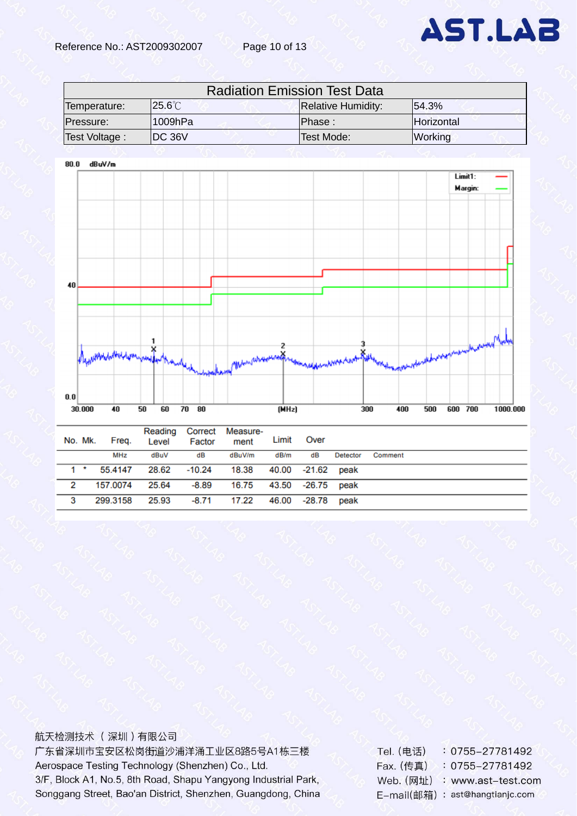

| <b>Radiation Emission Test Data</b> |                |                           |                |  |  |
|-------------------------------------|----------------|---------------------------|----------------|--|--|
| Temperature:                        | $25.6^{\circ}$ | <b>Relative Humidity:</b> | 154.3%         |  |  |
| Pressure:                           | $11009$ h $Pa$ | Phase:                    | Horizontal     |  |  |
| Test Voltage:                       | IDC 36V        | Test Mode:                | <b>Working</b> |  |  |



#### 航天检测技术 (深圳)有限公司

广东省深圳市宝安区松岗街道沙浦洋涌工业区8路5号A1栋三楼 Aerospace Testing Technology (Shenzhen) Co., Ltd. 3/F, Block A1, No.5, 8th Road, Shapu Yangyong Industrial Park, Songgang Street, Bao'an District, Shenzhen, Guangdong, China

0755-27781492 Tel. (电话) Fax. (传真) : 0755-27781492 Web. (网址) : www.ast-test.com E-mail(邮箱): ast@hangtianjc.com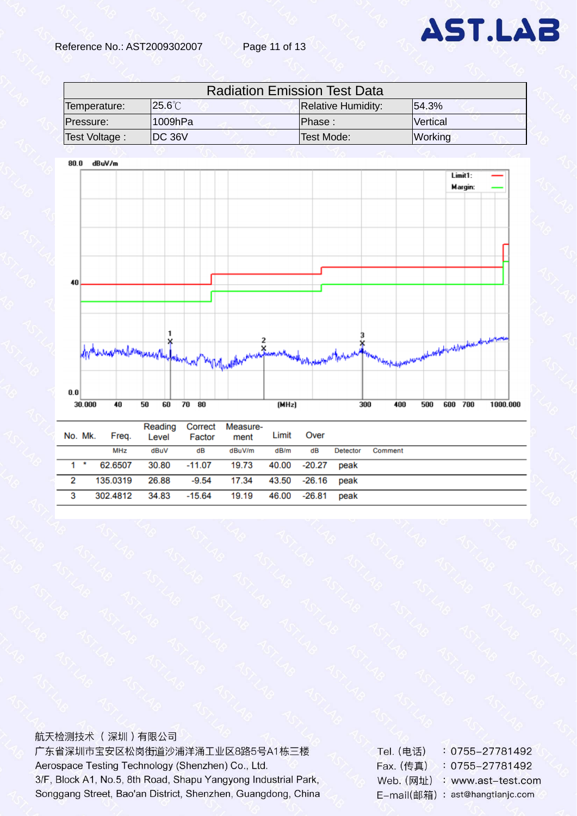| <b>Radiation Emission Test Data</b> |                  |                           |          |  |  |
|-------------------------------------|------------------|---------------------------|----------|--|--|
| Temperature:                        | $25.6^{\circ}$ C | <b>Relative Humidity:</b> | 154.3%   |  |  |
| Pressure:                           | l1009hPa.        | Phase:                    | Vertical |  |  |
| Test Voltage:                       | IDC 36V          | Test Mode:                | Working  |  |  |



|   |      | No. Mk. Freq. Level Factor                          |      |    | ment Limit Over                      |  |          |         |
|---|------|-----------------------------------------------------|------|----|--------------------------------------|--|----------|---------|
|   |      | MHz                                                 | dBuV | dB | dBuV/m dB/m dB                       |  | Detector | Comment |
|   | $1*$ | 62.6507                                             |      |    | 30.80 -11.07 19.73 40.00 -20.27 peak |  |          |         |
| 2 |      | 135.0319                                            |      |    | 26.88 -9.54 17.34 43.50 -26.16 peak  |  |          |         |
| 3 |      | 302.4812  34.83  -15.64  19.19  46.00  -26.81  peak |      |    |                                      |  |          |         |

#### <span id="page-10-0"></span>航天检测技术 (深圳)有限公司

广东省深圳市宝安区松岗街道沙浦洋涌工业区8路5号A1栋三楼 Aerospace Testing Technology (Shenzhen) Co., Ltd. 3/F, Block A1, No.5, 8th Road, Shapu Yangyong Industrial Park, Songgang Street, Bao'an District, Shenzhen, Guangdong, China Tel. (电话) : 0755-27781492 Fax. (传真) : 0755-27781492 Web. (网址) : www.ast-test.com E-mail(邮箱): ast@hangtianjc.com

**AST.LAB**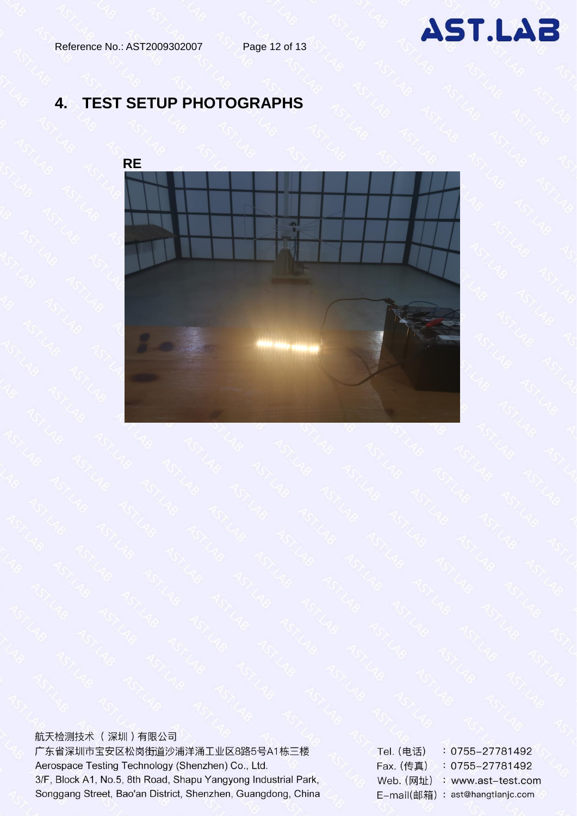# **4. TEST SETUP PHOTOGRAPHS**



航天检测技术 (深圳)有限公司 广东省深圳市宝安区松岗街道沙浦洋涌工业区8路5号A1栋三楼 Aerospace Testing Technology (Shenzhen) Co., Ltd. 3/F, Block A1, No.5, 8th Road, Shapu Yangyong Industrial Park, Songgang Street, Bao'an District, Shenzhen, Guangdong, China